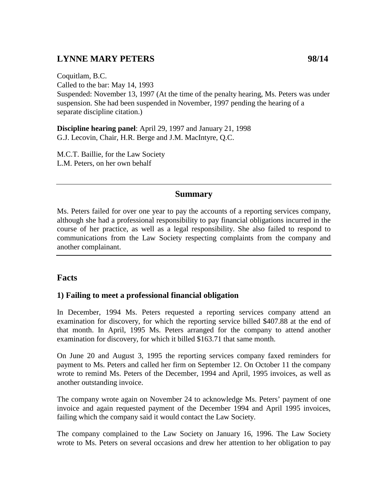# **LYNNE MARY PETERS 98/14**

Coquitlam, B.C. Called to the bar: May 14, 1993 Suspended: November 13, 1997 (At the time of the penalty hearing, Ms. Peters was under suspension. She had been suspended in November, 1997 pending the hearing of a separate discipline citation.)

**Discipline hearing panel**: April 29, 1997 and January 21, 1998 G.J. Lecovin, Chair, H.R. Berge and J.M. MacIntyre, Q.C.

M.C.T. Baillie, for the Law Society L.M. Peters, on her own behalf

### **Summary**

Ms. Peters failed for over one year to pay the accounts of a reporting services company, although she had a professional responsibility to pay financial obligations incurred in the course of her practice, as well as a legal responsibility. She also failed to respond to communications from the Law Society respecting complaints from the company and another complainant.

### **Facts**

#### **1) Failing to meet a professional financial obligation**

In December, 1994 Ms. Peters requested a reporting services company attend an examination for discovery, for which the reporting service billed \$407.88 at the end of that month. In April, 1995 Ms. Peters arranged for the company to attend another examination for discovery, for which it billed \$163.71 that same month.

On June 20 and August 3, 1995 the reporting services company faxed reminders for payment to Ms. Peters and called her firm on September 12. On October 11 the company wrote to remind Ms. Peters of the December, 1994 and April, 1995 invoices, as well as another outstanding invoice.

The company wrote again on November 24 to acknowledge Ms. Peters' payment of one invoice and again requested payment of the December 1994 and April 1995 invoices, failing which the company said it would contact the Law Society.

The company complained to the Law Society on January 16, 1996. The Law Society wrote to Ms. Peters on several occasions and drew her attention to her obligation to pay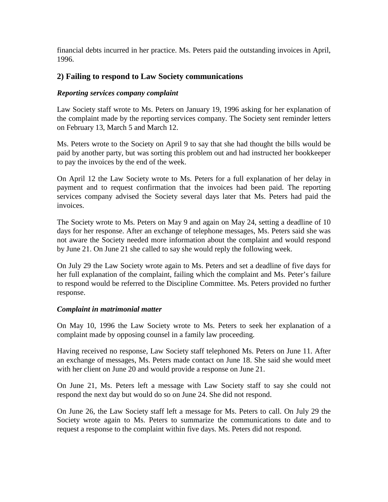financial debts incurred in her practice. Ms. Peters paid the outstanding invoices in April, 1996.

#### **2) Failing to respond to Law Society communications**

#### *Reporting services company complaint*

Law Society staff wrote to Ms. Peters on January 19, 1996 asking for her explanation of the complaint made by the reporting services company. The Society sent reminder letters on February 13, March 5 and March 12.

Ms. Peters wrote to the Society on April 9 to say that she had thought the bills would be paid by another party, but was sorting this problem out and had instructed her bookkeeper to pay the invoices by the end of the week.

On April 12 the Law Society wrote to Ms. Peters for a full explanation of her delay in payment and to request confirmation that the invoices had been paid. The reporting services company advised the Society several days later that Ms. Peters had paid the invoices.

The Society wrote to Ms. Peters on May 9 and again on May 24, setting a deadline of 10 days for her response. After an exchange of telephone messages, Ms. Peters said she was not aware the Society needed more information about the complaint and would respond by June 21. On June 21 she called to say she would reply the following week.

On July 29 the Law Society wrote again to Ms. Peters and set a deadline of five days for her full explanation of the complaint, failing which the complaint and Ms. Peter's failure to respond would be referred to the Discipline Committee. Ms. Peters provided no further response.

#### *Complaint in matrimonial matter*

On May 10, 1996 the Law Society wrote to Ms. Peters to seek her explanation of a complaint made by opposing counsel in a family law proceeding.

Having received no response, Law Society staff telephoned Ms. Peters on June 11. After an exchange of messages, Ms. Peters made contact on June 18. She said she would meet with her client on June 20 and would provide a response on June 21.

On June 21, Ms. Peters left a message with Law Society staff to say she could not respond the next day but would do so on June 24. She did not respond.

On June 26, the Law Society staff left a message for Ms. Peters to call. On July 29 the Society wrote again to Ms. Peters to summarize the communications to date and to request a response to the complaint within five days. Ms. Peters did not respond.